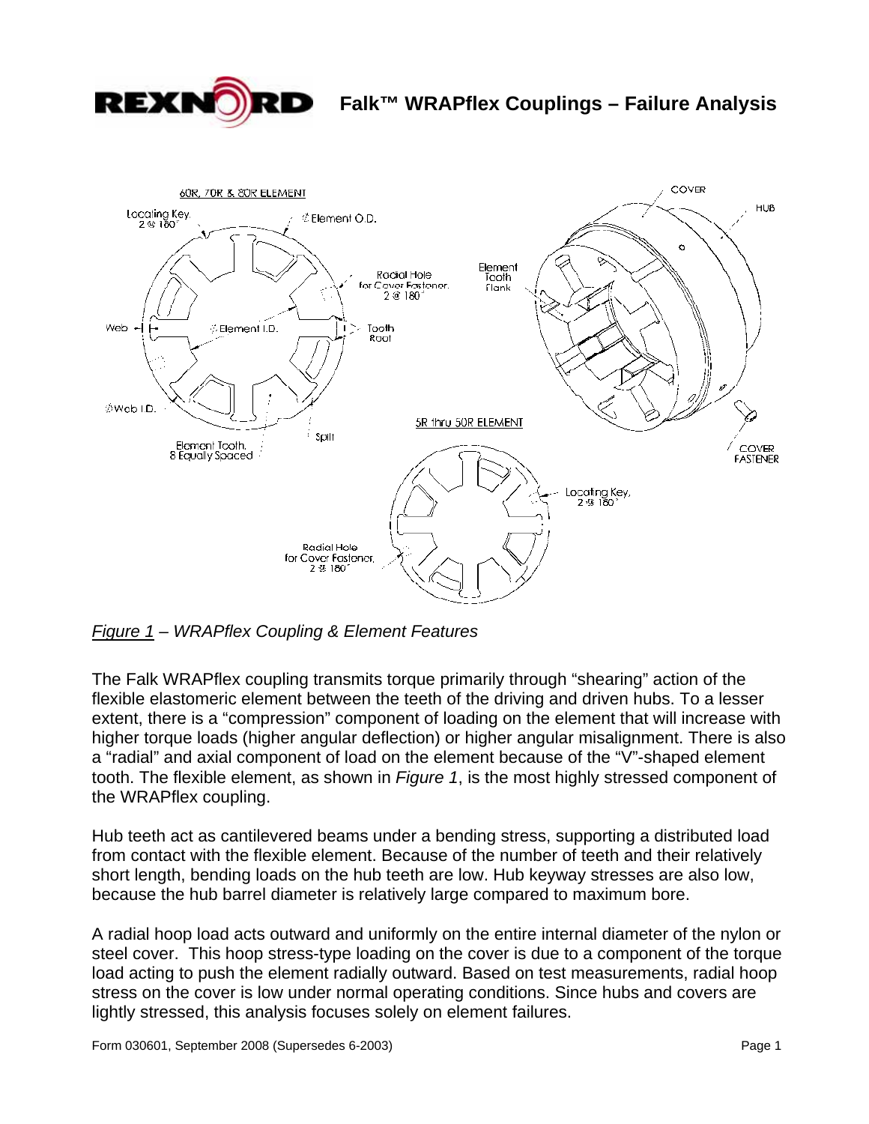

# **Falk™ WRAPflex Couplings – Failure Analysis**



*Figure 1 – WRAPflex Coupling & Element Features* 

The Falk WRAPflex coupling transmits torque primarily through "shearing" action of the flexible elastomeric element between the teeth of the driving and driven hubs. To a lesser extent, there is a "compression" component of loading on the element that will increase with higher torque loads (higher angular deflection) or higher angular misalignment. There is also a "radial" and axial component of load on the element because of the "V"-shaped element tooth. The flexible element, as shown in *Figure 1*, is the most highly stressed component of the WRAPflex coupling.

Hub teeth act as cantilevered beams under a bending stress, supporting a distributed load from contact with the flexible element. Because of the number of teeth and their relatively short length, bending loads on the hub teeth are low. Hub keyway stresses are also low, because the hub barrel diameter is relatively large compared to maximum bore.

A radial hoop load acts outward and uniformly on the entire internal diameter of the nylon or steel cover. This hoop stress-type loading on the cover is due to a component of the torque load acting to push the element radially outward. Based on test measurements, radial hoop stress on the cover is low under normal operating conditions. Since hubs and covers are lightly stressed, this analysis focuses solely on element failures.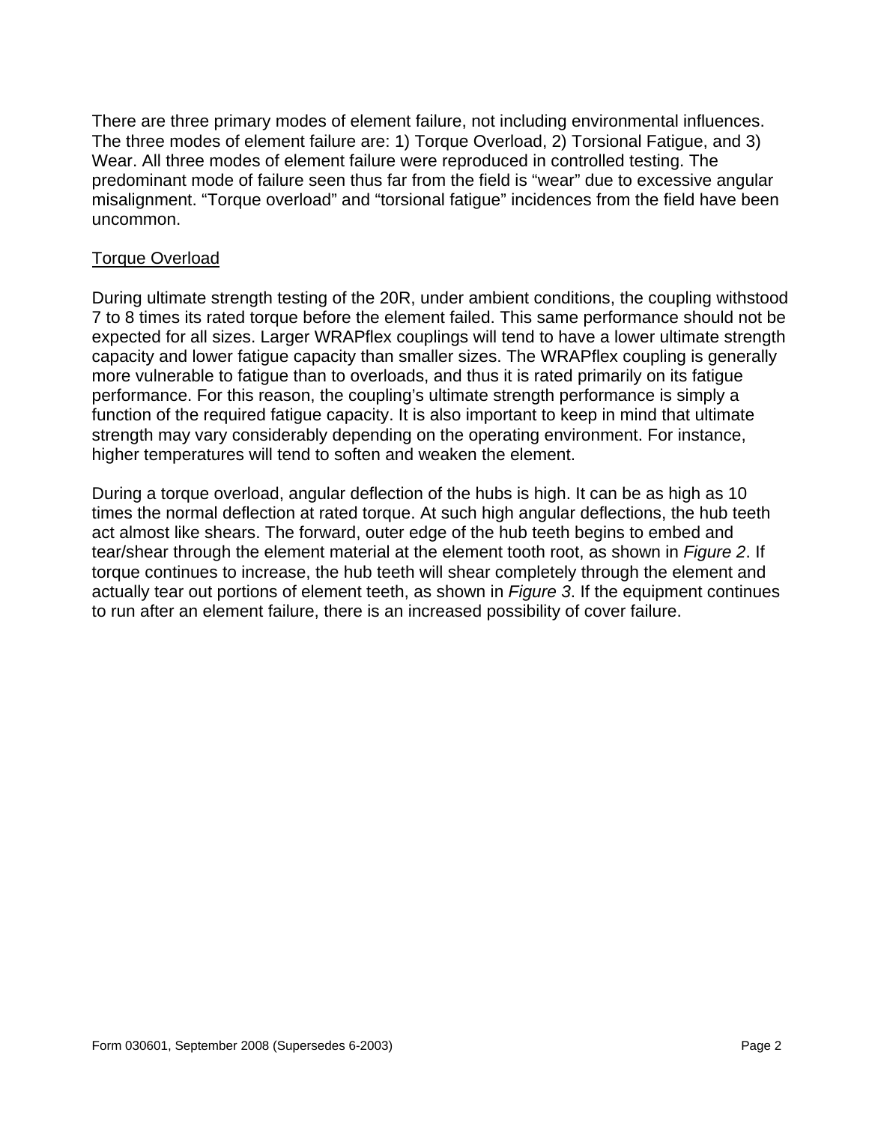There are three primary modes of element failure, not including environmental influences. The three modes of element failure are: 1) Torque Overload, 2) Torsional Fatigue, and 3) Wear. All three modes of element failure were reproduced in controlled testing. The predominant mode of failure seen thus far from the field is "wear" due to excessive angular misalignment. "Torque overload" and "torsional fatigue" incidences from the field have been uncommon.

## Torque Overload

During ultimate strength testing of the 20R, under ambient conditions, the coupling withstood 7 to 8 times its rated torque before the element failed. This same performance should not be expected for all sizes. Larger WRAPflex couplings will tend to have a lower ultimate strength capacity and lower fatigue capacity than smaller sizes. The WRAPflex coupling is generally more vulnerable to fatigue than to overloads, and thus it is rated primarily on its fatigue performance. For this reason, the coupling's ultimate strength performance is simply a function of the required fatigue capacity. It is also important to keep in mind that ultimate strength may vary considerably depending on the operating environment. For instance, higher temperatures will tend to soften and weaken the element.

During a torque overload, angular deflection of the hubs is high. It can be as high as 10 times the normal deflection at rated torque. At such high angular deflections, the hub teeth act almost like shears. The forward, outer edge of the hub teeth begins to embed and tear/shear through the element material at the element tooth root, as shown in *Figure 2*. If torque continues to increase, the hub teeth will shear completely through the element and actually tear out portions of element teeth, as shown in *Figure 3*. If the equipment continues to run after an element failure, there is an increased possibility of cover failure.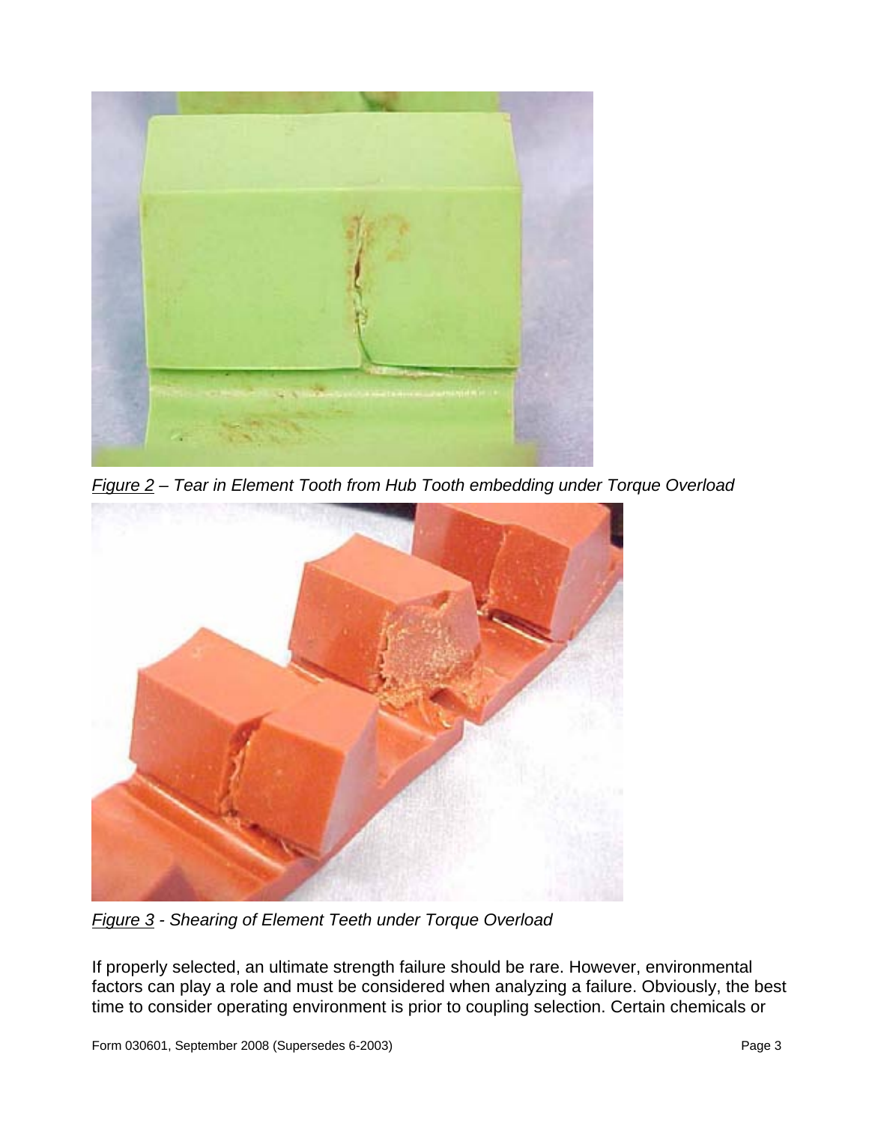

*Figure 2 – Tear in Element Tooth from Hub Tooth embedding under Torque Overload* 



*Figure 3 - Shearing of Element Teeth under Torque Overload* 

If properly selected, an ultimate strength failure should be rare. However, environmental factors can play a role and must be considered when analyzing a failure. Obviously, the best time to consider operating environment is prior to coupling selection. Certain chemicals or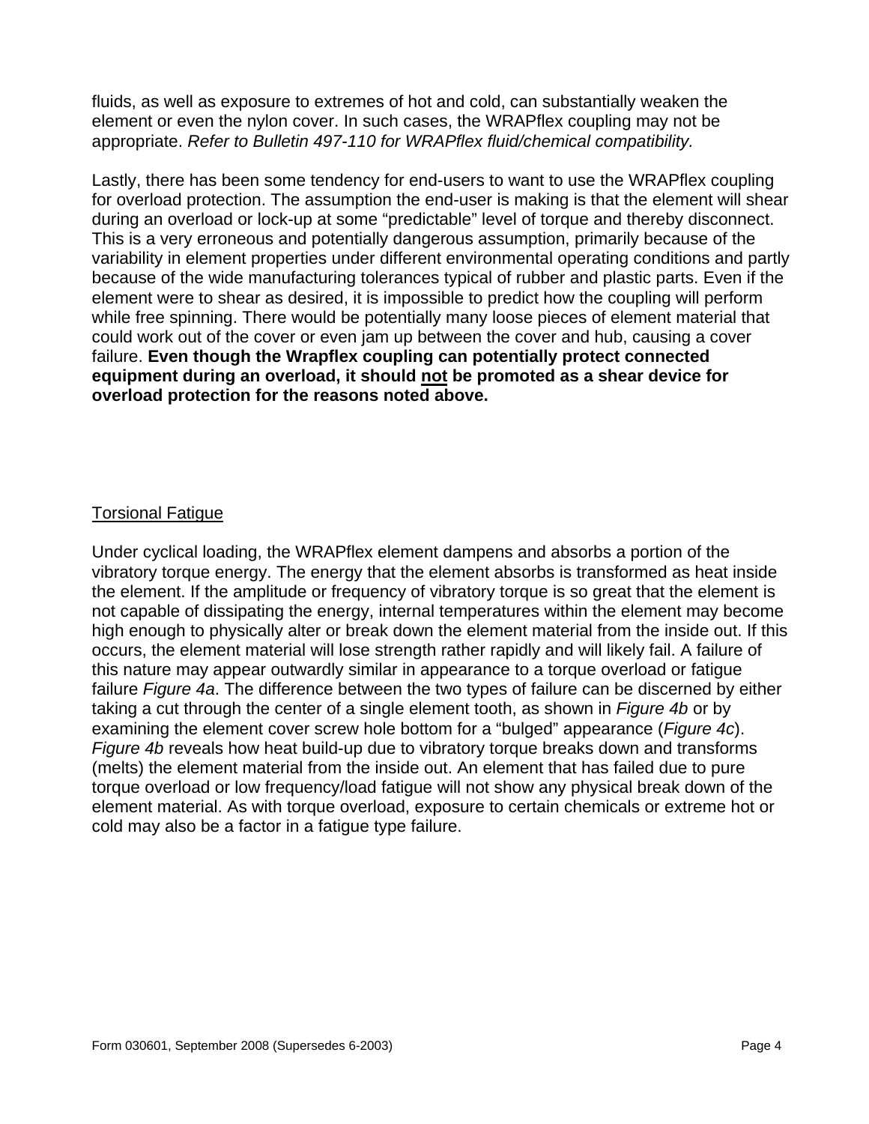fluids, as well as exposure to extremes of hot and cold, can substantially weaken the element or even the nylon cover. In such cases, the WRAPflex coupling may not be appropriate. *Refer to Bulletin 497-110 for WRAPflex fluid/chemical compatibility.*

Lastly, there has been some tendency for end-users to want to use the WRAPflex coupling for overload protection. The assumption the end-user is making is that the element will shear during an overload or lock-up at some "predictable" level of torque and thereby disconnect. This is a very erroneous and potentially dangerous assumption, primarily because of the variability in element properties under different environmental operating conditions and partly because of the wide manufacturing tolerances typical of rubber and plastic parts. Even if the element were to shear as desired, it is impossible to predict how the coupling will perform while free spinning. There would be potentially many loose pieces of element material that could work out of the cover or even jam up between the cover and hub, causing a cover failure. **Even though the Wrapflex coupling can potentially protect connected equipment during an overload, it should not be promoted as a shear device for overload protection for the reasons noted above.** 

## Torsional Fatigue

Under cyclical loading, the WRAPflex element dampens and absorbs a portion of the vibratory torque energy. The energy that the element absorbs is transformed as heat inside the element. If the amplitude or frequency of vibratory torque is so great that the element is not capable of dissipating the energy, internal temperatures within the element may become high enough to physically alter or break down the element material from the inside out. If this occurs, the element material will lose strength rather rapidly and will likely fail. A failure of this nature may appear outwardly similar in appearance to a torque overload or fatigue failure *Figure 4a*. The difference between the two types of failure can be discerned by either taking a cut through the center of a single element tooth, as shown in *Figure 4b* or by examining the element cover screw hole bottom for a "bulged" appearance (*Figure 4c*). *Figure 4b* reveals how heat build-up due to vibratory torque breaks down and transforms (melts) the element material from the inside out. An element that has failed due to pure torque overload or low frequency/load fatigue will not show any physical break down of the element material. As with torque overload, exposure to certain chemicals or extreme hot or cold may also be a factor in a fatigue type failure.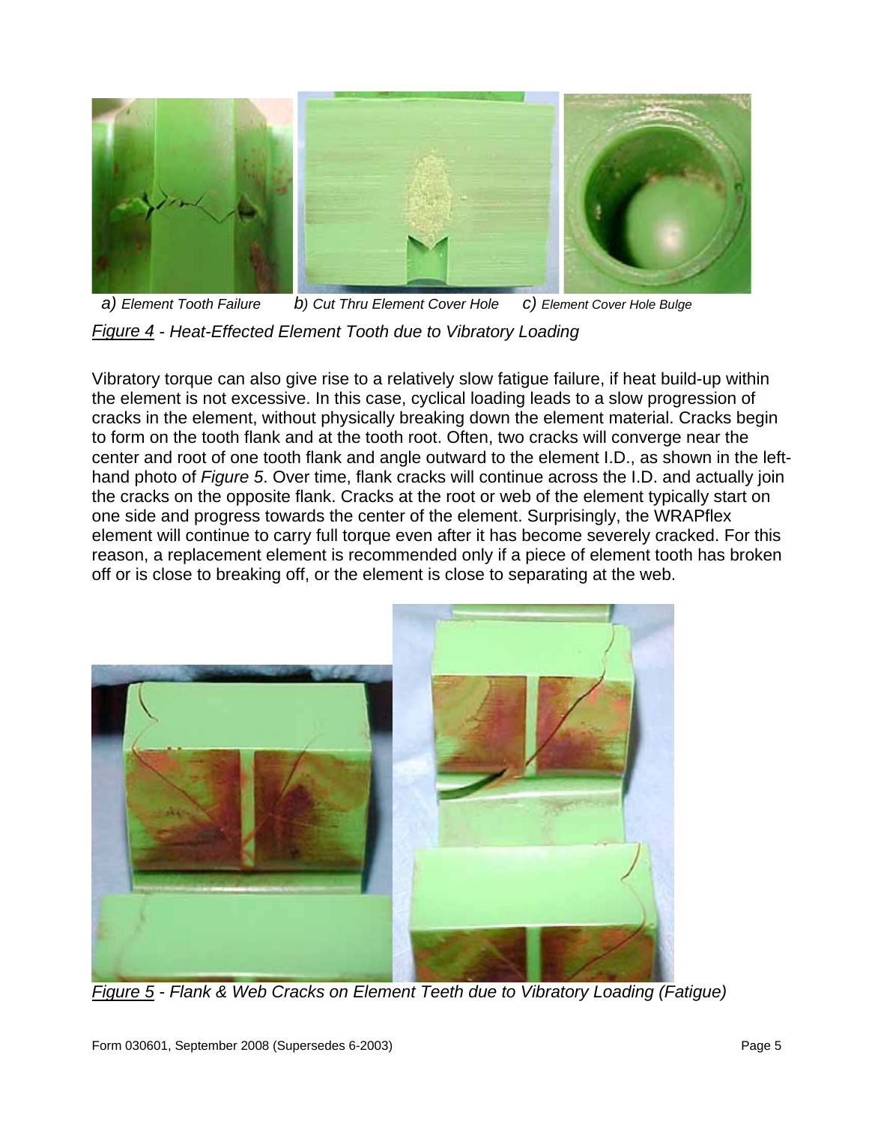

 *a) Element Tooth Failure b) Cut Thru Element Cover Hole c) Element Cover Hole Bulge Figure 4 - Heat-Effected Element Tooth due to Vibratory Loading* 

Vibratory torque can also give rise to a relatively slow fatigue failure, if heat build-up within the element is not excessive. In this case, cyclical loading leads to a slow progression of cracks in the element, without physically breaking down the element material. Cracks begin to form on the tooth flank and at the tooth root. Often, two cracks will converge near the center and root of one tooth flank and angle outward to the element I.D., as shown in the lefthand photo of *Figure 5*. Over time, flank cracks will continue across the I.D. and actually join the cracks on the opposite flank. Cracks at the root or web of the element typically start on one side and progress towards the center of the element. Surprisingly, the WRAPflex element will continue to carry full torque even after it has become severely cracked. For this reason, a replacement element is recommended only if a piece of element tooth has broken off or is close to breaking off, or the element is close to separating at the web.



*Figure 5 - Flank & Web Cracks on Element Teeth due to Vibratory Loading (Fatigue)*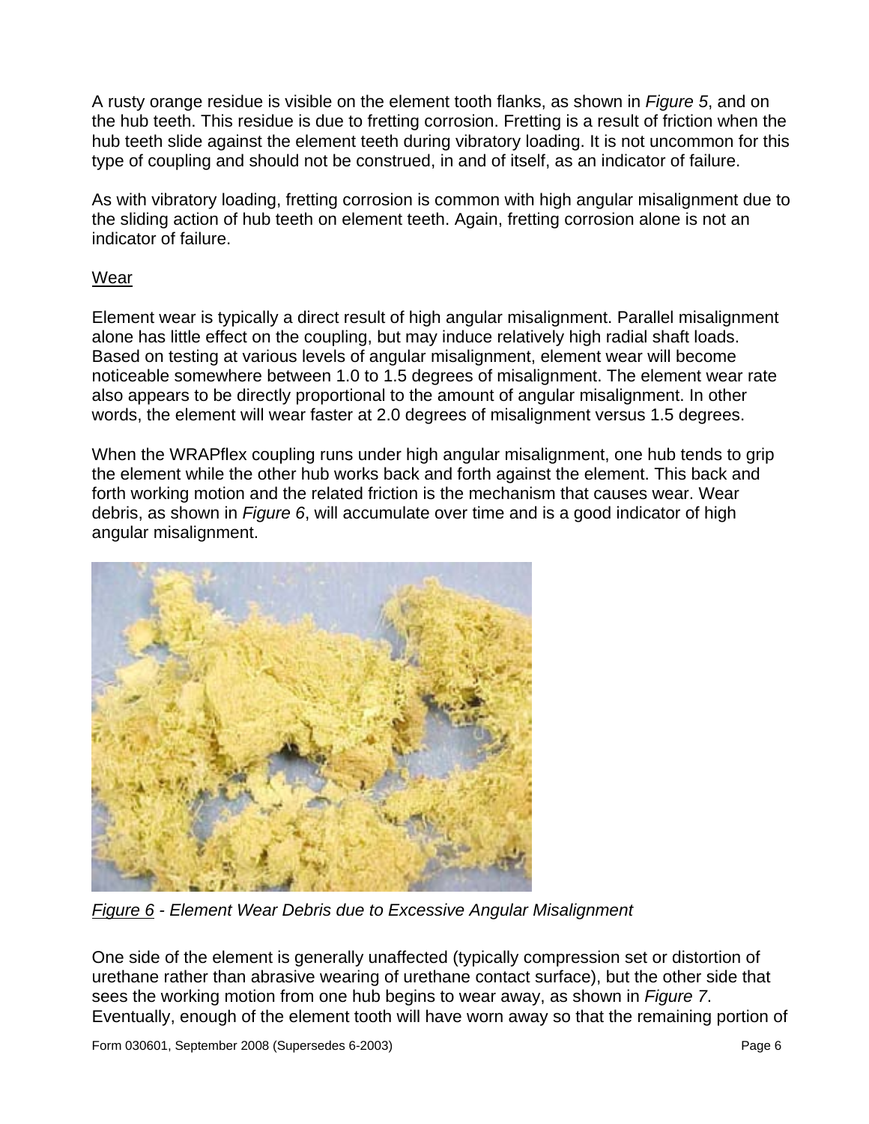A rusty orange residue is visible on the element tooth flanks, as shown in *Figure 5*, and on the hub teeth. This residue is due to fretting corrosion. Fretting is a result of friction when the hub teeth slide against the element teeth during vibratory loading. It is not uncommon for this type of coupling and should not be construed, in and of itself, as an indicator of failure.

As with vibratory loading, fretting corrosion is common with high angular misalignment due to the sliding action of hub teeth on element teeth. Again, fretting corrosion alone is not an indicator of failure.

#### Wear

Element wear is typically a direct result of high angular misalignment. Parallel misalignment alone has little effect on the coupling, but may induce relatively high radial shaft loads. Based on testing at various levels of angular misalignment, element wear will become noticeable somewhere between 1.0 to 1.5 degrees of misalignment. The element wear rate also appears to be directly proportional to the amount of angular misalignment. In other words, the element will wear faster at 2.0 degrees of misalignment versus 1.5 degrees.

When the WRAPflex coupling runs under high angular misalignment, one hub tends to grip the element while the other hub works back and forth against the element. This back and forth working motion and the related friction is the mechanism that causes wear. Wear debris, as shown in *Figure 6*, will accumulate over time and is a good indicator of high angular misalignment.



*Figure 6 - Element Wear Debris due to Excessive Angular Misalignment* 

One side of the element is generally unaffected (typically compression set or distortion of urethane rather than abrasive wearing of urethane contact surface), but the other side that sees the working motion from one hub begins to wear away, as shown in *Figure 7*. Eventually, enough of the element tooth will have worn away so that the remaining portion of

Form 030601, September 2008 (Supersedes 6-2003) Page 6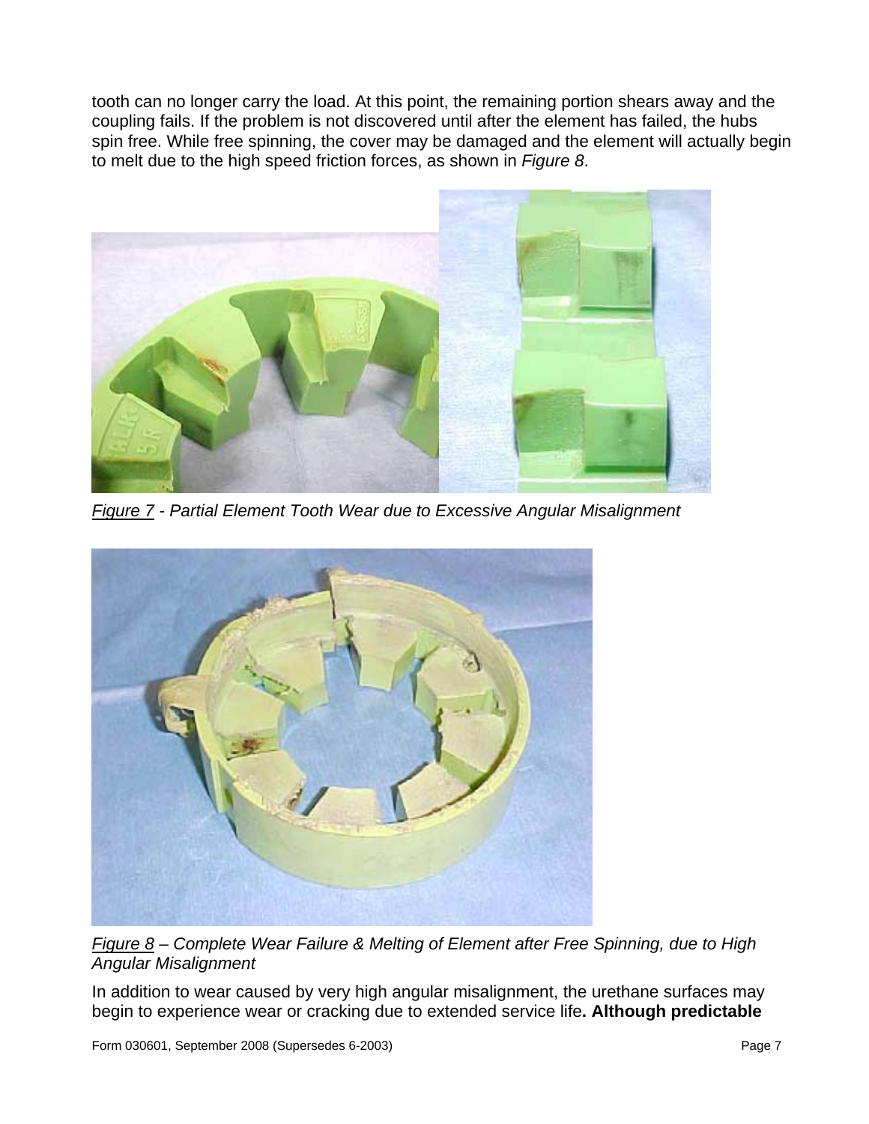tooth can no longer carry the load. At this point, the remaining portion shears away and the coupling fails. If the problem is not discovered until after the element has failed, the hubs spin free. While free spinning, the cover may be damaged and the element will actually begin to melt due to the high speed friction forces, as shown in *Figure 8*.



*Figure 7 - Partial Element Tooth Wear due to Excessive Angular Misalignment* 



*Figure 8 – Complete Wear Failure & Melting of Element after Free Spinning, due to High Angular Misalignment* 

In addition to wear caused by very high angular misalignment, the urethane surfaces may begin to experience wear or cracking due to extended service life**. Although predictable**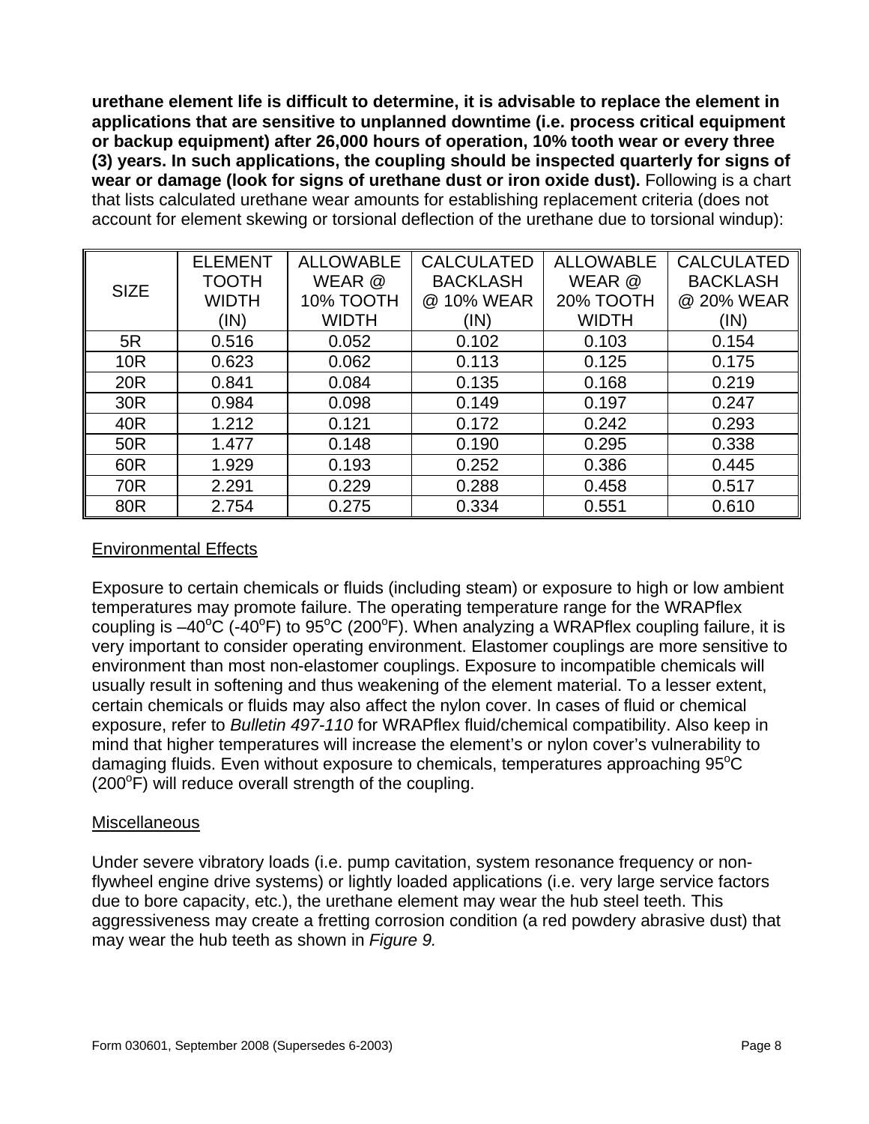**urethane element life is difficult to determine, it is advisable to replace the element in applications that are sensitive to unplanned downtime (i.e. process critical equipment or backup equipment) after 26,000 hours of operation, 10% tooth wear or every three (3) years. In such applications, the coupling should be inspected quarterly for signs of wear or damage (look for signs of urethane dust or iron oxide dust).** Following is a chart that lists calculated urethane wear amounts for establishing replacement criteria (does not account for element skewing or torsional deflection of the urethane due to torsional windup):

| <b>SIZE</b>     | <b>ELEMENT</b> | <b>ALLOWABLE</b> | <b>CALCULATED</b> | <b>ALLOWABLE</b> | <b>CALCULATED</b> |
|-----------------|----------------|------------------|-------------------|------------------|-------------------|
|                 | <b>TOOTH</b>   | WEAR @           | <b>BACKLASH</b>   | WEAR @           | <b>BACKLASH</b>   |
|                 | <b>WIDTH</b>   | 10% TOOTH        | @ 10% WEAR        | <b>20% TOOTH</b> | @ 20% WEAR        |
|                 | (IN)           | <b>WIDTH</b>     | (IN)              | <b>WIDTH</b>     | (IN)              |
| 5R              | 0.516          | 0.052            | 0.102             | 0.103            | 0.154             |
| 10 <sub>R</sub> | 0.623          | 0.062            | 0.113             | 0.125            | 0.175             |
| <b>20R</b>      | 0.841          | 0.084            | 0.135             | 0.168            | 0.219             |
| 30R             | 0.984          | 0.098            | 0.149             | 0.197            | 0.247             |
| 40R             | 1.212          | 0.121            | 0.172             | 0.242            | 0.293             |
| 50R             | 1.477          | 0.148            | 0.190             | 0.295            | 0.338             |
| 60R             | 1.929          | 0.193            | 0.252             | 0.386            | 0.445             |
| 70R             | 2.291          | 0.229            | 0.288             | 0.458            | 0.517             |
| 80R             | 2.754          | 0.275            | 0.334             | 0.551            | 0.610             |

## Environmental Effects

Exposure to certain chemicals or fluids (including steam) or exposure to high or low ambient temperatures may promote failure. The operating temperature range for the WRAPflex coupling is  $-40^{\circ}$ C (-40°F) to 95°C (200°F). When analyzing a WRAPflex coupling failure, it is very important to consider operating environment. Elastomer couplings are more sensitive to environment than most non-elastomer couplings. Exposure to incompatible chemicals will usually result in softening and thus weakening of the element material. To a lesser extent, certain chemicals or fluids may also affect the nylon cover. In cases of fluid or chemical exposure, refer to *Bulletin 497-110* for WRAPflex fluid/chemical compatibility. Also keep in mind that higher temperatures will increase the element's or nylon cover's vulnerability to damaging fluids. Even without exposure to chemicals, temperatures approaching  $95^{\circ}$ C  $(200^{\circ}$ F) will reduce overall strength of the coupling.

### **Miscellaneous**

Under severe vibratory loads (i.e. pump cavitation, system resonance frequency or nonflywheel engine drive systems) or lightly loaded applications (i.e. very large service factors due to bore capacity, etc.), the urethane element may wear the hub steel teeth. This aggressiveness may create a fretting corrosion condition (a red powdery abrasive dust) that may wear the hub teeth as shown in *Figure 9.*